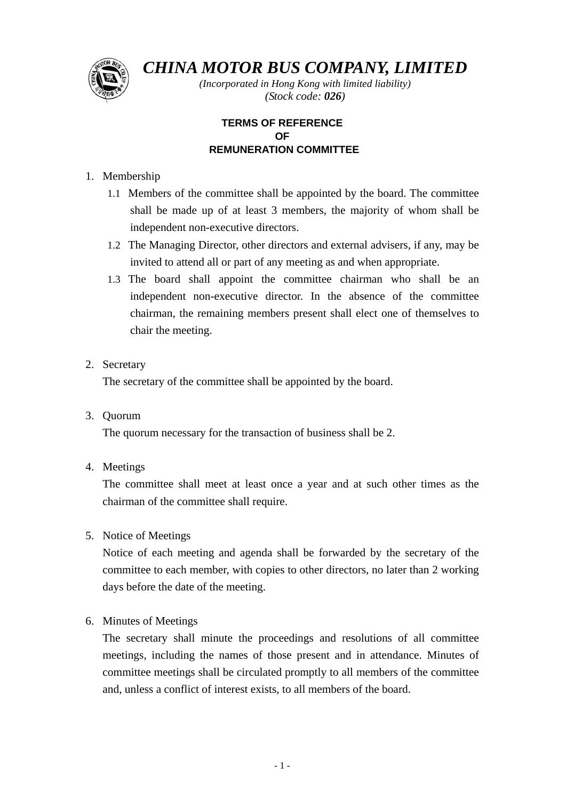

*CHINA MOTOR BUS COMPANY, LIMITED*

*(Incorporated in Hong Kong with limited liability) (Stock code: 026)*

# **TERMS OF REFERENCE OF REMUNERATION COMMITTEE**

# 1. Membership

- 1.1 Members of the committee shall be appointed by the board. The committee shall be made up of at least 3 members, the majority of whom shall be independent non-executive directors.
- 1.2 The Managing Director, other directors and external advisers, if any, may be invited to attend all or part of any meeting as and when appropriate.
- 1.3 The board shall appoint the committee chairman who shall be an independent non-executive director. In the absence of the committee chairman, the remaining members present shall elect one of themselves to chair the meeting.
- 2. Secretary

The secretary of the committee shall be appointed by the board.

3. Quorum

The quorum necessary for the transaction of business shall be 2.

4. Meetings

The committee shall meet at least once a year and at such other times as the chairman of the committee shall require.

5. Notice of Meetings

Notice of each meeting and agenda shall be forwarded by the secretary of the committee to each member, with copies to other directors, no later than 2 working days before the date of the meeting.

### 6. Minutes of Meetings

The secretary shall minute the proceedings and resolutions of all committee meetings, including the names of those present and in attendance. Minutes of committee meetings shall be circulated promptly to all members of the committee and, unless a conflict of interest exists, to all members of the board.